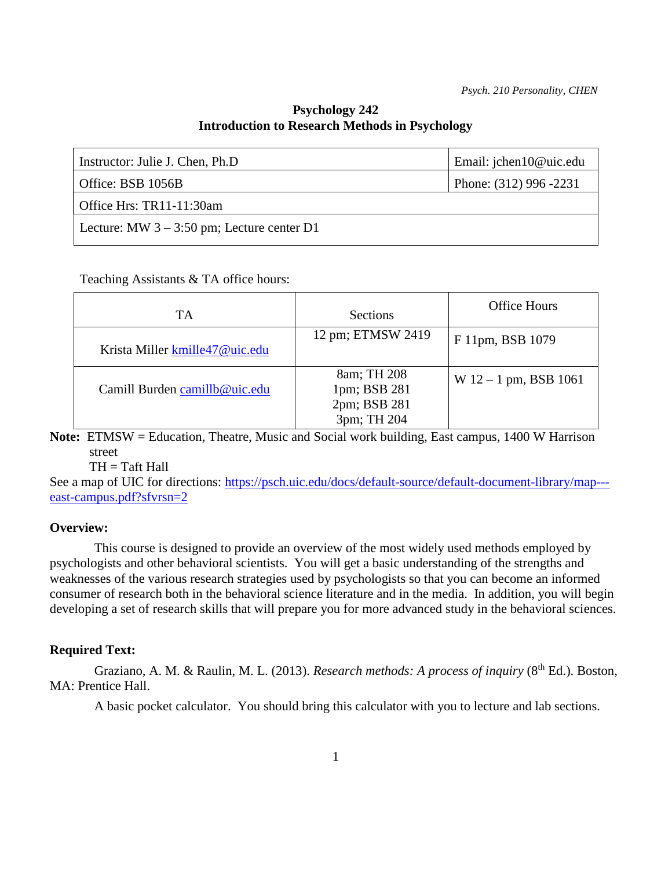## **Psychology 242 Introduction to Research Methods in Psychology**

| Instructor: Julie J. Chen, Ph.D              | Email: jchen10@uic.edu |
|----------------------------------------------|------------------------|
| Office: BSB $1056B$                          | Phone: (312) 996 -2231 |
| Office Hrs: TR11-11:30am                     |                        |
| Lecture: MW $3 - 3:50$ pm; Lecture center D1 |                        |
|                                              |                        |

Teaching Assistants & TA office hours:

| TA                             | Sections                                                   | <b>Office Hours</b>     |
|--------------------------------|------------------------------------------------------------|-------------------------|
| Krista Miller kmille47@uic.edu | 12 pm; ETMSW 2419                                          | F 11pm, BSB 1079        |
| Camill Burden camillb@uic.edu  | 8am; TH 208<br>1pm; BSB 281<br>2pm; BSB 281<br>3pm; TH 204 | $W 12 - 1$ pm, BSB 1061 |

**Note:** ETMSW = Education, Theatre, Music and Social work building, East campus, 1400 W Harrison street

 $TH = Taff Hall$ 

See a map of UIC for directions: [https://psch.uic.edu/docs/default-source/default-document-library/map--](https://psch.uic.edu/docs/default-source/default-document-library/map---east-campus.pdf?sfvrsn=2) [east-campus.pdf?sfvrsn=2](https://psch.uic.edu/docs/default-source/default-document-library/map---east-campus.pdf?sfvrsn=2)

### **Overview:**

This course is designed to provide an overview of the most widely used methods employed by psychologists and other behavioral scientists. You will get a basic understanding of the strengths and weaknesses of the various research strategies used by psychologists so that you can become an informed consumer of research both in the behavioral science literature and in the media. In addition, you will begin developing a set of research skills that will prepare you for more advanced study in the behavioral sciences.

### **Required Text:**

Graziano, A. M. & Raulin, M. L. (2013). *Research methods: A process of inquiry* (8<sup>th</sup> Ed.). Boston, MA: Prentice Hall.

A basic pocket calculator. You should bring this calculator with you to lecture and lab sections.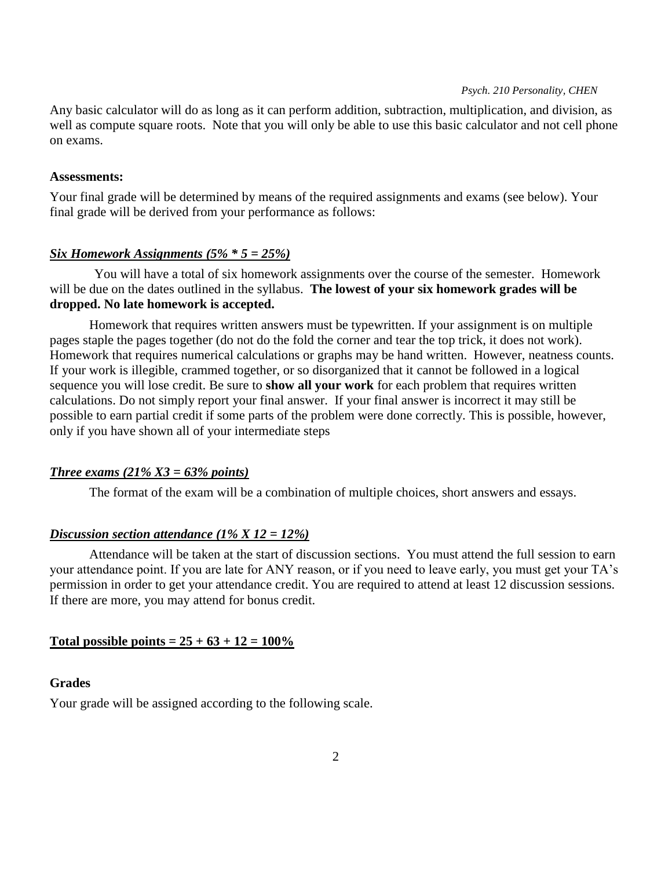Any basic calculator will do as long as it can perform addition, subtraction, multiplication, and division, as well as compute square roots. Note that you will only be able to use this basic calculator and not cell phone on exams.

#### **Assessments:**

Your final grade will be determined by means of the required assignments and exams (see below). Your final grade will be derived from your performance as follows:

### *Six Homework Assignments (5% \* 5 = 25%)*

You will have a total of six homework assignments over the course of the semester. Homework will be due on the dates outlined in the syllabus. **The lowest of your six homework grades will be dropped. No late homework is accepted.** 

Homework that requires written answers must be typewritten. If your assignment is on multiple pages staple the pages together (do not do the fold the corner and tear the top trick, it does not work). Homework that requires numerical calculations or graphs may be hand written. However, neatness counts. If your work is illegible, crammed together, or so disorganized that it cannot be followed in a logical sequence you will lose credit. Be sure to **show all your work** for each problem that requires written calculations. Do not simply report your final answer. If your final answer is incorrect it may still be possible to earn partial credit if some parts of the problem were done correctly. This is possible, however, only if you have shown all of your intermediate steps

### *Three exams (21% X3 = 63% points)*

The format of the exam will be a combination of multiple choices, short answers and essays.

### *Discussion section attendance (1% X 12 = 12%)*

Attendance will be taken at the start of discussion sections. You must attend the full session to earn your attendance point. If you are late for ANY reason, or if you need to leave early, you must get your TA's permission in order to get your attendance credit. You are required to attend at least 12 discussion sessions. If there are more, you may attend for bonus credit.

### **Total possible points =**  $25 + 63 + 12 = 100\%$

### **Grades**

Your grade will be assigned according to the following scale.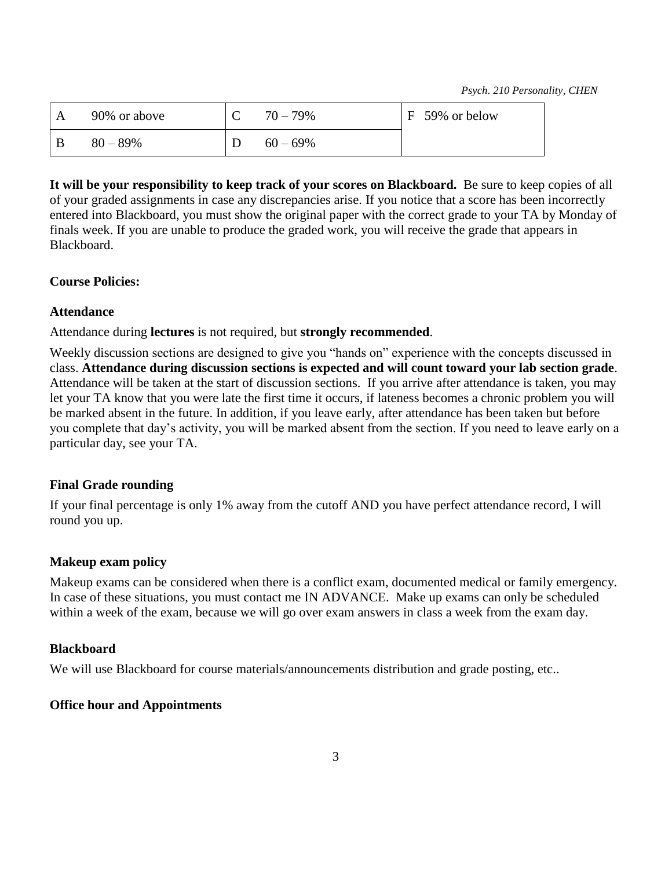| 90% or above | $70 - 79\%$ | F 59% or below |
|--------------|-------------|----------------|
| $80 - 89%$   | $60 - 69\%$ |                |

**It will be your responsibility to keep track of your scores on Blackboard.** Be sure to keep copies of all of your graded assignments in case any discrepancies arise. If you notice that a score has been incorrectly entered into Blackboard, you must show the original paper with the correct grade to your TA by Monday of finals week. If you are unable to produce the graded work, you will receive the grade that appears in Blackboard.

## **Course Policies:**

## **Attendance**

Attendance during **lectures** is not required, but **strongly recommended**.

Weekly discussion sections are designed to give you "hands on" experience with the concepts discussed in class. **Attendance during discussion sections is expected and will count toward your lab section grade**. Attendance will be taken at the start of discussion sections. If you arrive after attendance is taken, you may let your TA know that you were late the first time it occurs, if lateness becomes a chronic problem you will be marked absent in the future. In addition, if you leave early, after attendance has been taken but before you complete that day's activity, you will be marked absent from the section. If you need to leave early on a particular day, see your TA.

## **Final Grade rounding**

If your final percentage is only 1% away from the cutoff AND you have perfect attendance record, I will round you up.

# **Makeup exam policy**

Makeup exams can be considered when there is a conflict exam, documented medical or family emergency. In case of these situations, you must contact me IN ADVANCE. Make up exams can only be scheduled within a week of the exam, because we will go over exam answers in class a week from the exam day.

## **Blackboard**

We will use Blackboard for course materials/announcements distribution and grade posting, etc..

# **Office hour and Appointments**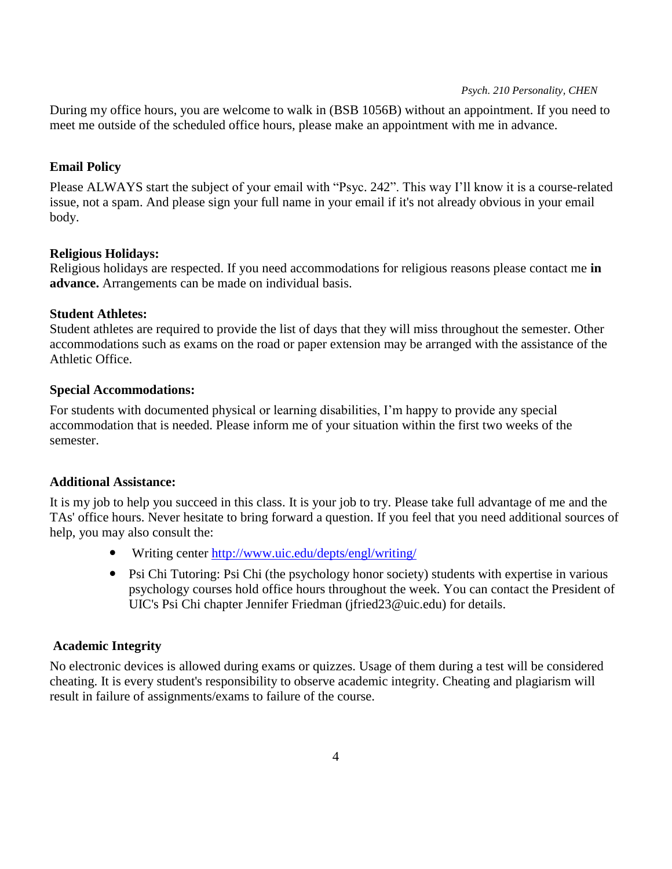During my office hours, you are welcome to walk in (BSB 1056B) without an appointment. If you need to meet me outside of the scheduled office hours, please make an appointment with me in advance.

## **Email Policy**

Please ALWAYS start the subject of your email with "Psyc. 242". This way I'll know it is a course-related issue, not a spam. And please sign your full name in your email if it's not already obvious in your email body.

## **Religious Holidays:**

Religious holidays are respected. If you need accommodations for religious reasons please contact me **in advance.** Arrangements can be made on individual basis.

## **Student Athletes:**

Student athletes are required to provide the list of days that they will miss throughout the semester. Other accommodations such as exams on the road or paper extension may be arranged with the assistance of the Athletic Office.

### **Special Accommodations:**

For students with documented physical or learning disabilities, I'm happy to provide any special accommodation that is needed. Please inform me of your situation within the first two weeks of the semester.

## **Additional Assistance:**

It is my job to help you succeed in this class. It is your job to try. Please take full advantage of me and the TAs' office hours. Never hesitate to bring forward a question. If you feel that you need additional sources of help, you may also consult the:

- Writing center<http://www.uic.edu/depts/engl/writing/>
- Psi Chi Tutoring: Psi Chi (the psychology honor society) students with expertise in various psychology courses hold office hours throughout the week. You can contact the President of UIC's Psi Chi chapter Jennifer Friedman (jfried23@uic.edu) for details.

## **Academic Integrity**

No electronic devices is allowed during exams or quizzes. Usage of them during a test will be considered cheating. It is every student's responsibility to observe academic integrity. Cheating and plagiarism will result in failure of assignments/exams to failure of the course.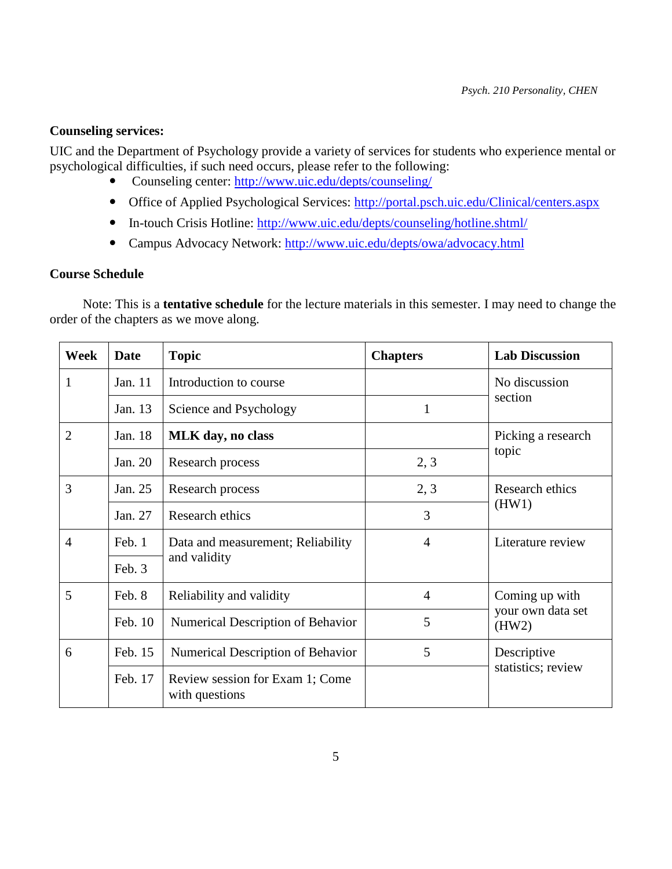### **Counseling services:**

UIC and the Department of Psychology provide a variety of services for students who experience mental or psychological difficulties, if such need occurs, please refer to the following:

- Counseling center:<http://www.uic.edu/depts/counseling/>
- Office of Applied Psychological Services:<http://portal.psch.uic.edu/Clinical/centers.aspx>
- In-touch Crisis Hotline:<http://www.uic.edu/depts/counseling/hotline.shtml/>
- Campus Advocacy Network:<http://www.uic.edu/depts/owa/advocacy.html>

### **Course Schedule**

 Note: This is a **tentative schedule** for the lecture materials in this semester. I may need to change the order of the chapters as we move along.

| Week           | <b>Date</b> | <b>Topic</b>                                      | <b>Chapters</b> | <b>Lab Discussion</b>                        |  |
|----------------|-------------|---------------------------------------------------|-----------------|----------------------------------------------|--|
| 1              | Jan. 11     | Introduction to course                            |                 | No discussion<br>section                     |  |
|                | Jan. 13     | Science and Psychology                            | 1               |                                              |  |
| $\overline{2}$ | Jan. 18     | <b>MLK</b> day, no class                          |                 | Picking a research                           |  |
|                | Jan. 20     | Research process                                  | 2, 3            | topic                                        |  |
| 3              | Jan. 25     | Research process                                  | 2, 3            | Research ethics<br>(HW1)                     |  |
|                | Jan. 27     | Research ethics                                   | 3               |                                              |  |
| 4              | Feb. 1      | Data and measurement; Reliability                 | 4               | Literature review                            |  |
|                | Feb. 3      | and validity                                      |                 |                                              |  |
| 5              | Feb. 8      | Reliability and validity                          | $\overline{4}$  | Coming up with<br>your own data set<br>(HW2) |  |
|                | Feb. 10     | Numerical Description of Behavior                 | 5               |                                              |  |
| 6              | Feb. 15     | Numerical Description of Behavior                 | 5               | Descriptive<br>statistics; review            |  |
|                | Feb. 17     | Review session for Exam 1; Come<br>with questions |                 |                                              |  |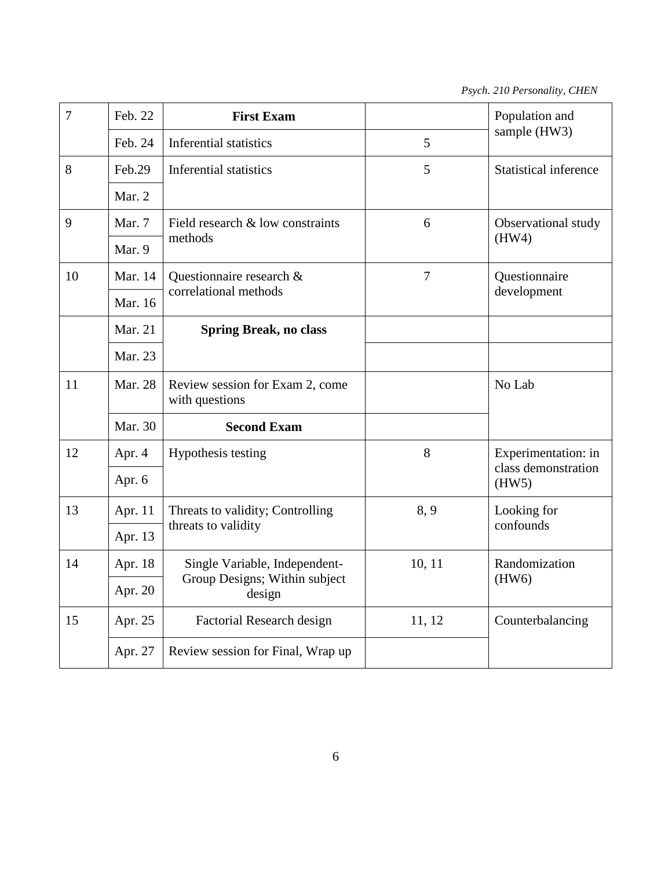| $\overline{7}$ | Feb. 22  | <b>First Exam</b>                                 |                | Population and               |  |
|----------------|----------|---------------------------------------------------|----------------|------------------------------|--|
|                | Feb. 24  | <b>Inferential statistics</b>                     | 5              | sample (HW3)                 |  |
| 8              | Feb.29   | <b>Inferential statistics</b>                     | 5              | <b>Statistical inference</b> |  |
|                | Mar. $2$ |                                                   |                |                              |  |
| 9              | Mar. 7   | Field research & low constraints                  | 6              | Observational study          |  |
|                | Mar. 9   | methods                                           |                | (HW4)                        |  |
| 10             | Mar. 14  | Questionnaire research &                          | $\overline{7}$ | Questionnaire                |  |
|                | Mar. 16  | correlational methods                             |                | development                  |  |
|                | Mar. 21  | <b>Spring Break, no class</b>                     |                |                              |  |
|                | Mar. 23  |                                                   |                |                              |  |
| 11             | Mar. 28  | Review session for Exam 2, come<br>with questions |                | No Lab                       |  |
|                | Mar. 30  | <b>Second Exam</b>                                |                |                              |  |
| 12             | Apr. 4   | Hypothesis testing                                | 8              | Experimentation: in          |  |
|                | Apr. 6   |                                                   |                | class demonstration<br>(HW5) |  |
| 13             | Apr. 11  | Threats to validity; Controlling                  | 8, 9           | Looking for<br>confounds     |  |
|                | Apr. 13  | threats to validity                               |                |                              |  |
| 14             | Apr. 18  | Single Variable, Independent-                     | 10, 11         | Randomization                |  |
|                | Apr. 20  | Group Designs; Within subject<br>design           |                | (HW6)                        |  |
| 15             | Apr. 25  | Factorial Research design                         | 11, 12         | Counterbalancing             |  |
|                | Apr. 27  | Review session for Final, Wrap up                 |                |                              |  |